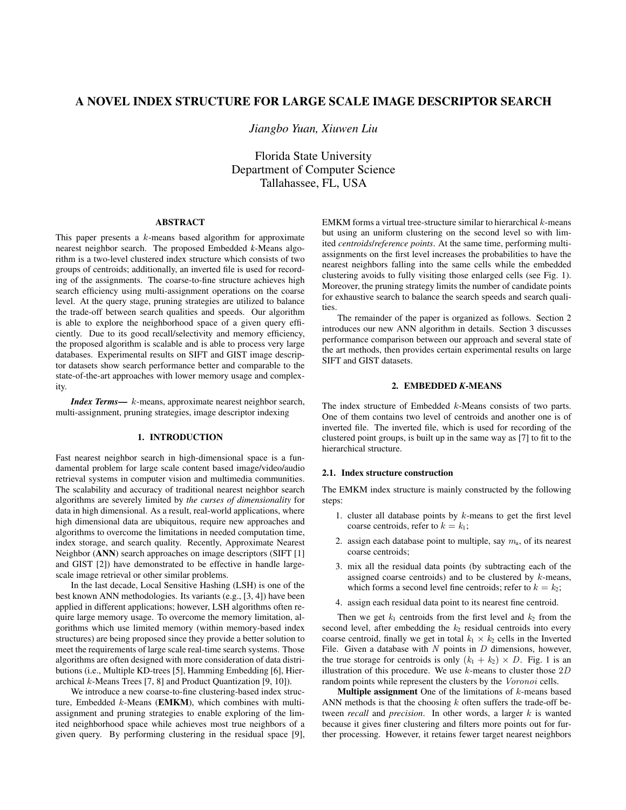# A NOVEL INDEX STRUCTURE FOR LARGE SCALE IMAGE DESCRIPTOR SEARCH

*Jiangbo Yuan, Xiuwen Liu*

Florida State University Department of Computer Science Tallahassee, FL, USA

# ABSTRACT

This paper presents a k-means based algorithm for approximate nearest neighbor search. The proposed Embedded *k*-Means algorithm is a two-level clustered index structure which consists of two groups of centroids; additionally, an inverted file is used for recording of the assignments. The coarse-to-fine structure achieves high search efficiency using multi-assignment operations on the coarse level. At the query stage, pruning strategies are utilized to balance the trade-off between search qualities and speeds. Our algorithm is able to explore the neighborhood space of a given query efficiently. Due to its good recall/selectivity and memory efficiency, the proposed algorithm is scalable and is able to process very large databases. Experimental results on SIFT and GIST image descriptor datasets show search performance better and comparable to the state-of-the-art approaches with lower memory usage and complexity.

*Index Terms*— k-means, approximate nearest neighbor search, multi-assignment, pruning strategies, image descriptor indexing

# 1. INTRODUCTION

Fast nearest neighbor search in high-dimensional space is a fundamental problem for large scale content based image/video/audio retrieval systems in computer vision and multimedia communities. The scalability and accuracy of traditional nearest neighbor search algorithms are severely limited by *the curses of dimensionality* for data in high dimensional. As a result, real-world applications, where high dimensional data are ubiquitous, require new approaches and algorithms to overcome the limitations in needed computation time, index storage, and search quality. Recently, Approximate Nearest Neighbor (ANN) search approaches on image descriptors (SIFT [1] and GIST [2]) have demonstrated to be effective in handle largescale image retrieval or other similar problems.

In the last decade, Local Sensitive Hashing (LSH) is one of the best known ANN methodologies. Its variants (e.g., [3, 4]) have been applied in different applications; however, LSH algorithms often require large memory usage. To overcome the memory limitation, algorithms which use limited memory (within memory-based index structures) are being proposed since they provide a better solution to meet the requirements of large scale real-time search systems. Those algorithms are often designed with more consideration of data distributions (i.e., Multiple KD-trees [5], Hamming Embedding [6], Hierarchical k-Means Trees [7, 8] and Product Quantization [9, 10]).

We introduce a new coarse-to-fine clustering-based index structure, Embedded k-Means (EMKM), which combines with multiassignment and pruning strategies to enable exploring of the limited neighborhood space while achieves most true neighbors of a given query. By performing clustering in the residual space [9], EMKM forms a virtual tree-structure similar to hierarchical  $k$ -means but using an uniform clustering on the second level so with limited *centroids*/*reference points*. At the same time, performing multiassignments on the first level increases the probabilities to have the nearest neighbors falling into the same cells while the embedded clustering avoids to fully visiting those enlarged cells (see Fig. 1). Moreover, the pruning strategy limits the number of candidate points for exhaustive search to balance the search speeds and search qualities.

The remainder of the paper is organized as follows. Section 2 introduces our new ANN algorithm in details. Section 3 discusses performance comparison between our approach and several state of the art methods, then provides certain experimental results on large SIFT and GIST datasets.

#### 2. EMBEDDED *K*-MEANS

The index structure of Embedded  $k$ -Means consists of two parts. One of them contains two level of centroids and another one is of inverted file. The inverted file, which is used for recording of the clustered point groups, is built up in the same way as [7] to fit to the hierarchical structure.

### 2.1. Index structure construction

The EMKM index structure is mainly constructed by the following steps:

- 1. cluster all database points by  $k$ -means to get the first level coarse centroids, refer to  $k = k_1$ ;
- 2. assign each database point to multiple, say  $m_a$ , of its nearest coarse centroids;
- 3. mix all the residual data points (by subtracting each of the assigned coarse centroids) and to be clustered by k-means, which forms a second level fine centroids; refer to  $k = k_2$ ;
- 4. assign each residual data point to its nearest fine centroid.

Then we get  $k_1$  centroids from the first level and  $k_2$  from the second level, after embedding the  $k_2$  residual centroids into every coarse centroid, finally we get in total  $k_1 \times k_2$  cells in the Inverted File. Given a database with  $N$  points in  $D$  dimensions, however, the true storage for centroids is only  $(k_1 + k_2) \times D$ . Fig. 1 is an illustration of this procedure. We use  $k$ -means to cluster those  $2D$ random points while represent the clusters by the Voronoi cells.

**Multiple assignment** One of the limitations of  $k$ -means based ANN methods is that the choosing  $k$  often suffers the trade-off between *recall* and *precision*. In other words, a larger k is wanted because it gives finer clustering and filters more points out for further processing. However, it retains fewer target nearest neighbors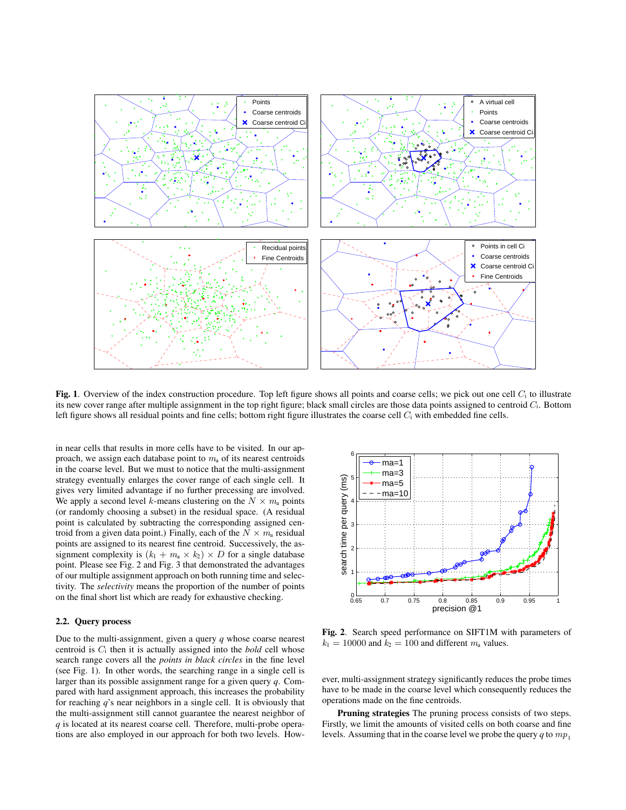

Fig. 1. Overview of the index construction procedure. Top left figure shows all points and coarse cells; we pick out one cell  $C_i$  to illustrate its new cover range after multiple assignment in the top right figure; black small circles are those data points assigned to centroid  $C_i$ . Bottom left figure shows all residual points and fine cells; bottom right figure illustrates the coarse cell  $C_i$  with embedded fine cells.

in near cells that results in more cells have to be visited. In our approach, we assign each database point to  $m<sub>a</sub>$  of its nearest centroids in the coarse level. But we must to notice that the multi-assignment strategy eventually enlarges the cover range of each single cell. It gives very limited advantage if no further precessing are involved. We apply a second level k-means clustering on the  $N \times m_a$  points (or randomly choosing a subset) in the residual space. (A residual point is calculated by subtracting the corresponding assigned centroid from a given data point.) Finally, each of the  $N \times m_a$  residual points are assigned to its nearest fine centroid. Successively, the assignment complexity is  $(k_1 + m_a \times k_2) \times D$  for a single database point. Please see Fig. 2 and Fig. 3 that demonstrated the advantages of our multiple assignment approach on both running time and selectivity. The *selectivity* means the proportion of the number of points on the final short list which are ready for exhaustive checking.

### 2.2. Query process

Due to the multi-assignment, given a query *q* whose coarse nearest centroid is C<sup>i</sup> then it is actually assigned into the *bold* cell whose search range covers all the *points in black circles* in the fine level (see Fig. 1). In other words, the searching range in a single cell is larger than its possible assignment range for a given query *q*. Compared with hard assignment approach, this increases the probability for reaching *q*'s near neighbors in a single cell. It is obviously that the multi-assignment still cannot guarantee the nearest neighbor of *q* is located at its nearest coarse cell. Therefore, multi-probe operations are also employed in our approach for both two levels. How-



Fig. 2. Search speed performance on SIFT1M with parameters of  $k_1 = 10000$  and  $k_2 = 100$  and different  $m_a$  values.

ever, multi-assignment strategy significantly reduces the probe times have to be made in the coarse level which consequently reduces the operations made on the fine centroids.

Pruning strategies The pruning process consists of two steps. Firstly, we limit the amounts of visited cells on both coarse and fine levels. Assuming that in the coarse level we probe the query  $q$  to  $mp_1$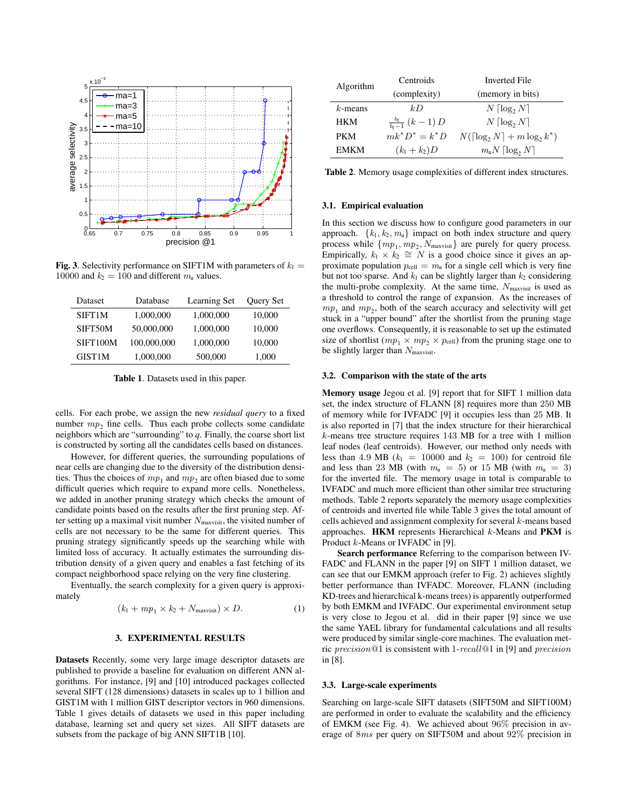

**Fig. 3.** Selectivity performance on SIFT1M with parameters of  $k_1 =$ 10000 and  $k_2 = 100$  and different  $m_a$  values.

| Dataset       | Database    | Learning Set | <b>Ouery Set</b> |
|---------------|-------------|--------------|------------------|
| SIFT1M        | 1,000,000   | 1,000,000    | 10,000           |
| SIFT50M       | 50,000,000  | 1,000,000    | 10,000           |
| SIFT100M      | 100,000,000 | 1,000,000    | 10,000           |
| <b>GIST1M</b> | 1,000,000   | 500,000      | 1,000            |

Table 1. Datasets used in this paper.

cells. For each probe, we assign the new *residual query* to a fixed number  $mp_2$  fine cells. Thus each probe collects some candidate neighbors which are "surrounding" to *q*. Finally, the coarse short list is constructed by sorting all the candidates cells based on distances.

However, for different queries, the surrounding populations of near cells are changing due to the diversity of the distribution densities. Thus the choices of  $mp_1$  and  $mp_2$  are often biased due to some difficult queries which require to expand more cells. Nonetheless, we added in another pruning strategy which checks the amount of candidate points based on the results after the first pruning step. After setting up a maximal visit number  $N_{\text{maxvisit}}$ , the visited number of cells are not necessary to be the same for different queries. This pruning strategy significantly speeds up the searching while with limited loss of accuracy. It actually estimates the surrounding distribution density of a given query and enables a fast fetching of its compact neighborhood space relying on the very fine clustering.

Eventually, the search complexity for a given query is approximately

$$
(k_1 + mp_1 \times k_2 + N_{\text{maxvisit}}) \times D. \tag{1}
$$

# 3. EXPERIMENTAL RESULTS

Datasets Recently, some very large image descriptor datasets are published to provide a baseline for evaluation on different ANN algorithms. For instance, [9] and [10] introduced packages collected several SIFT (128 dimensions) datasets in scales up to 1 billion and GIST1M with 1 million GIST descriptor vectors in 960 dimensions. Table 1 gives details of datasets we used in this paper including database, learning set and query set sizes. All SIFT datasets are subsets from the package of big ANN SIFT1B [10].

| Algorithm   | Centroids                                 | <b>Inverted File</b>                       |  |
|-------------|-------------------------------------------|--------------------------------------------|--|
|             | (complexity)                              | (memory in bits)                           |  |
| $k$ -means  | kD                                        | $N \lceil \log_2 N \rceil$                 |  |
| <b>HKM</b>  | $\frac{b_{\rm f}}{b_{\rm f}-1}$ $(k-1)$ D | $N \lceil \log_2 N \rceil$                 |  |
| <b>PKM</b>  | $mk^*D^* = k^*D$                          | $N(\lceil \log_2 N \rceil + m \log_2 k^*)$ |  |
| <b>FMKM</b> | $(k_1 + k_2)D$                            | $m_a N \lceil \log_2 N \rceil$             |  |

Table 2. Memory usage complexities of different index structures.

### 3.1. Empirical evaluation

In this section we discuss how to configure good parameters in our approach.  $\{k_1, k_2, m_a\}$  impact on both index structure and query process while  $\{mp_1, mp_2, N_{maxvisit}\}$  are purely for query process. Empirically,  $k_1 \times k_2 \cong N$  is a good choice since it gives an approximate population  $p_{cell} = m_a$  for a single cell which is very fine but not too sparse. And  $k_1$  can be slightly larger than  $k_2$  considering the multi-probe complexity. At the same time,  $N_{\text{maxvisit}}$  is used as a threshold to control the range of expansion. As the increases of  $mp<sub>1</sub>$  and  $mp<sub>2</sub>$ , both of the search accuracy and selectivity will get stuck in a "upper bound" after the shortlist from the pruning stage one overflows. Consequently, it is reasonable to set up the estimated size of shortlist ( $mp_1 \times mp_2 \times p_{cell}$ ) from the pruning stage one to be slightly larger than  $N_{\text{maxvisit}}$ .

# 3.2. Comparison with the state of the arts

Memory usage Jegou et al. [9] report that for SIFT 1 million data set, the index structure of FLANN [8] requires more than 250 MB of memory while for IVFADC [9] it occupies less than 25 MB. It is also reported in [7] that the index structure for their hierarchical k-means tree structure requires 143 MB for a tree with 1 million leaf nodes (leaf centroids). However, our method only needs with less than 4.9 MB ( $k_1$  = 10000 and  $k_2$  = 100) for centroid file and less than 23 MB (with  $m_a = 5$ ) or 15 MB (with  $m_a = 3$ ) for the inverted file. The memory usage in total is comparable to IVFADC and much more efficient than other similar tree structuring methods. Table 2 reports separately the memory usage complexities of centroids and inverted file while Table 3 gives the total amount of cells achieved and assignment complexity for several k-means based approaches. **HKM** represents Hierarchical  $k$ -Means and **PKM** is Product k-Means or IVFADC in [9].

Search performance Referring to the comparison between IV-FADC and FLANN in the paper [9] on SIFT 1 million dataset, we can see that our EMKM approach (refer to Fig. 2) achieves slightly better performance than IVFADC. Moreover, FLANN (including KD-trees and hierarchical k-means trees) is apparently outperformed by both EMKM and IVFADC. Our experimental environment setup is very close to Jegou et al. did in their paper [9] since we use the same YAEL library for fundamental calculations and all results were produced by similar single-core machines. The evaluation metric precision@1 is consistent with 1-recall@1 in [9] and precision in [8].

### 3.3. Large-scale experiments

Searching on large-scale SIFT datasets (SIFT50M and SIFT100M) are performed in order to evaluate the scalability and the efficiency of EMKM (see Fig. 4). We achieved about 96% precision in average of 8ms per query on SIFT50M and about 92% precision in